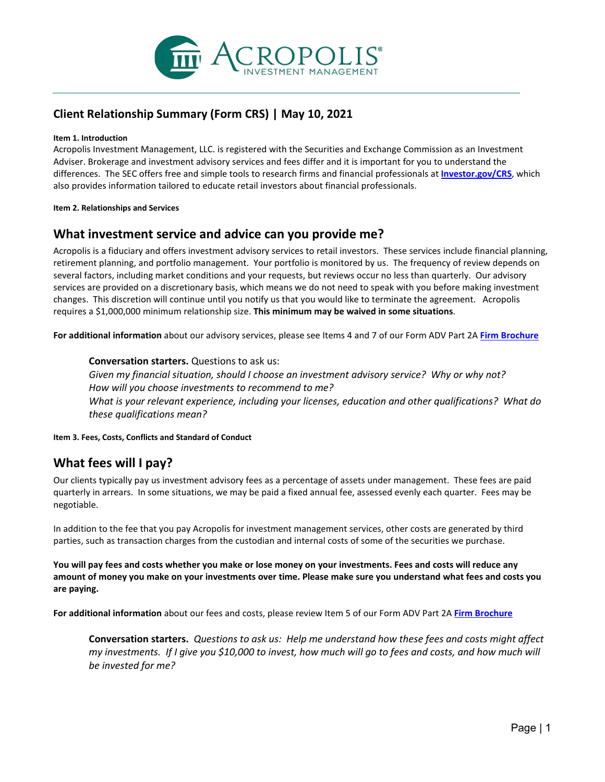

# **Client Relationship Summary (Form CRS) | May 10, 2021**

#### **Item 1. Introduction**

Acropolis Investment Management, LLC. is registered with the Securities and Exchange Commission as an Investment Adviser. Brokerage and investment advisory services and fees differ and it is important for you to understand the differences.  The SEC offers free and simple tools to research firms and financial professionals at **[Investor.gov/CRS](https://www.investor.gov/CRS)**, which also provides information tailored to educate retail investors about financial professionals.

**Item 2. Relationships and Services**

### **What investment service and advice can you provide me?**

Acropolis is a fiduciary and offers investment advisory services to retail investors. These services include financial planning, retirement planning, and portfolio management. Your portfolio is monitored by us. The frequency of review depends on several factors, including market conditions and your requests, but reviews occur no less than quarterly. Our advisory services are provided on a discretionary basis, which means we do not need to speak with you before making investment changes. This discretion will continue until you notify us that you would like to terminate the agreement. Acropolis requires a \$1,000,000 minimum relationship size. **This minimum may be waived in some situations**.

**For additional information** about our advisory services, please see Items 4 and 7 of our Form ADV Part 2A **[Firm Brochure](https://acrinv.com/wp-content/uploads/2022-Acropolis-ADV-Part-2_FINAL.pdf)**

### **Conversation starters.** Questions to ask us:

*Given my financial situation, should I choose an investment advisory service?  Why or why not?  How will you choose investments to recommend to me? What is your relevant experience, including your licenses, education and other qualifications?  What do these qualifications mean?*

**Item 3. Fees, Costs, Conflicts and Standard of Conduct**

# **What fees will I pay?**

Our clients typically pay us investment advisory fees as a percentage of assets under management. These fees are paid quarterly in arrears. In some situations, we may be paid a fixed annual fee, assessed evenly each quarter. Fees may be negotiable.

In addition to the fee that you pay Acropolis for investment management services, other costs are generated by third parties, such as transaction charges from the custodian and internal costs of some of the securities we purchase.

**You will pay fees and costs whether you make or lose money on your investments. Fees and costs will reduce any amount of money you make on your investments over time. Please make sure you understand what fees and costs you are paying.**

**For additional information** about our fees and costs, please review Item 5 of our Form ADV Part 2A **[Firm Brochure](https://acrinv.com/wp-content/uploads/2022-Acropolis-ADV-Part-2_FINAL.pdf)**

**Conversation starters.***Questions to ask us:  Help me understand how these fees and costs might affect my investments.  If I give you \$10,000 to invest, how much will go to fees and costs, and how much will be invested for me?*